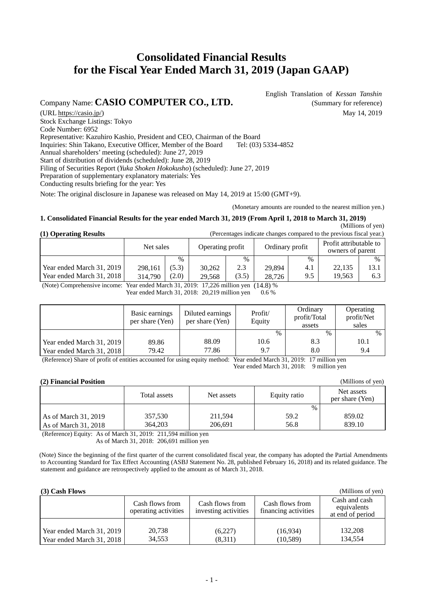# **Consolidated Financial Results for the Fiscal Year Ended March 31, 2019 (Japan GAAP)**

Company Name: **CASIO COMPUTER CO., LTD.** (Summary for reference)

English Translation of *Kessan Tanshin*

(URL https://casio.jp/) May 14, 2019 Stock Exchange Listings: Tokyo Code Number: 6952 Representative: Kazuhiro Kashio, President and CEO, Chairman of the Board Inquiries: Shin Takano, Executive Officer, Member of the Board Tel: (03) 5334-4852 Annual shareholders' meeting (scheduled): June 27, 2019 Start of distribution of dividends (scheduled): June 28, 2019 Filing of Securities Report (*Yuka Shoken Hokokusho*) (scheduled): June 27, 2019 Preparation of supplementary explanatory materials: Yes Conducting results briefing for the year: Yes

Note: The original disclosure in Japanese was released on May 14, 2019 at 15:00 (GMT+9).

(Monetary amounts are rounded to the nearest million yen.)

#### **1. Consolidated Financial Results for the year ended March 31, 2019 (From April 1, 2018 to March 31, 2019)**

 (Millions of yen) (Percentages indicate changes compared to the previous fiscal year.)

(Millions of yen)

|  | (1) Operating Results |  |  |
|--|-----------------------|--|--|
|  |                       |  |  |

|                           | Net sales |       | Operating profit |       | Ordinary profit |      | Profit attributable to<br>owners of parent |               |
|---------------------------|-----------|-------|------------------|-------|-----------------|------|--------------------------------------------|---------------|
|                           |           | $\%$  |                  | $\%$  |                 | $\%$ |                                            | $\frac{0}{0}$ |
| Year ended March 31, 2019 | 298,161   | (5.3) | 30.262           | 2.3   | 29.894          | 4.1  | 22,135                                     | 13.1          |
| Year ended March 31, 2018 | 314.790   | (2.0) | 29.568           | (3.5) | 28.726          | 9.5  | 19.563                                     | 6.3           |

(Note) Comprehensive income: Year ended March 31, 2019: 17,226 million yen (14.8) %

Year ended March 31, 2018: 20,219 million yen 0.6 %

|                           | Basic earnings<br>per share (Yen) | Diluted earnings<br>per share (Yen) | Profit/<br>Equity | Ordinary<br>profit/Total<br>assets | Operating<br>profit/Net<br>sales |
|---------------------------|-----------------------------------|-------------------------------------|-------------------|------------------------------------|----------------------------------|
|                           |                                   |                                     | $\%$              | $\%$                               | $\frac{0}{0}$                    |
| Year ended March 31, 2019 | 89.86                             | 88.09                               | 10.6              | 8.3                                | 10.1                             |
| Year ended March 31, 2018 | 79.42                             | 77.86                               | 9.7               | 8.0                                | 9.4                              |

(Reference) Share of profit of entities accounted for using equity method: Year ended March 31, 2019: 17 million yen Year ended March 31, 2018: 9 million yen

#### **(2) Financial Position**

|                                              | Total assets       | Net assets         | Equity ratio         | Net assets<br>per share (Yen) |
|----------------------------------------------|--------------------|--------------------|----------------------|-------------------------------|
| As of March 31, 2019<br>As of March 31, 2018 | 357,530<br>364,203 | 211,594<br>206.691 | $\%$<br>59.2<br>56.8 | 859.02<br>839.10              |

(Reference) Equity: As of March 31, 2019: 211,594 million yen As of March 31, 2018: 206,691 million yen

(Note) Since the beginning of the first quarter of the current consolidated fiscal year, the company has adopted the Partial Amendments to Accounting Standard for Tax Effect Accounting (ASBJ Statement No. 28, published February 16, 2018) and its related guidance. The statement and guidance are retrospectively applied to the amount as of March 31, 2018.

|  |  | (3) Cash Flows |
|--|--|----------------|
|--|--|----------------|

| $(3)$ Cash Flows          |                                         |                                         |                                         | (Millions of yen)                                |
|---------------------------|-----------------------------------------|-----------------------------------------|-----------------------------------------|--------------------------------------------------|
|                           | Cash flows from<br>operating activities | Cash flows from<br>investing activities | Cash flows from<br>financing activities | Cash and cash<br>equivalents<br>at end of period |
|                           |                                         |                                         |                                         |                                                  |
| Year ended March 31, 2019 | 20,738                                  | (6,227)                                 | (16,934)                                | 132,208                                          |
| Year ended March 31, 2018 | 34,553                                  | (8,311)                                 | (10, 589)                               | 134.554                                          |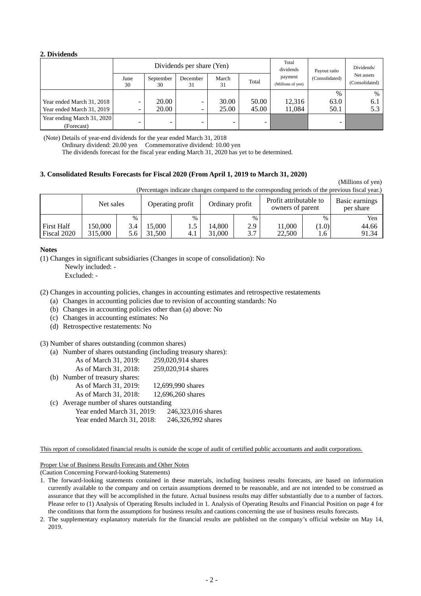#### **2. Dividends**

|                            | Dividends per share (Yen) |                          |                |             | Total<br>dividends | Payout ratio                 | Dividends/     |                              |
|----------------------------|---------------------------|--------------------------|----------------|-------------|--------------------|------------------------------|----------------|------------------------------|
|                            | June<br>30                | September<br>30          | December<br>31 | March<br>31 | Total              | payment<br>(Millions of yen) | (Consolidated) | Net assets<br>(Consolidated) |
|                            |                           |                          |                |             |                    |                              | $\%$           | $\%$                         |
| Year ended March 31, 2018  |                           | 20.00                    | -              | 30.00       | 50.00              | 12,316                       | 63.0           | 6.1                          |
| Year ended March 31, 2019  | -                         | 20.00                    | -              | 25.00       | 45.00              | 11,084                       | 50.1           | 5.3                          |
| Year ending March 31, 2020 |                           |                          |                |             |                    |                              |                |                              |
| (Forecast)                 |                           | $\overline{\phantom{a}}$ |                | -           |                    |                              |                |                              |

(Note) Details of year-end dividends for the year ended March 31, 2018

Ordinary dividend: 20.00 yen Commemorative dividend: 10.00 yen

The dividends forecast for the fiscal year ending March 31, 2020 has yet to be determined.

#### **3. Consolidated Results Forecasts for Fiscal 2020 (From April 1, 2019 to March 31, 2020)**

(Millions of yen)

(Percentages indicate changes compared to the corresponding periods of the previous fiscal year.)

|                   | Net sales |      |        | Operating profit | Ordinary profit |      | ີ<br>Profit attributable to<br>owners of parent |       | Basic earnings<br>per share |
|-------------------|-----------|------|--------|------------------|-----------------|------|-------------------------------------------------|-------|-----------------------------|
|                   |           | $\%$ |        | $\%$             |                 | $\%$ |                                                 | $\%$  | Yen                         |
| <b>First Half</b> | 150.000   | 3.4  | 5.000  |                  | 14.800          | 2.9  | 1,000                                           | (1.0) | 44.66                       |
| Fiscal 2020       | 315.000   | 5.6  | 31.500 |                  | 31.000          | 3.7  | 22,500                                          | 1.6   | 91.34                       |

#### **Notes**

(1) Changes in significant subsidiaries (Changes in scope of consolidation): No

Newly included: -

Excluded: -

(2) Changes in accounting policies, changes in accounting estimates and retrospective restatements

- (a) Changes in accounting policies due to revision of accounting standards: No
- (b) Changes in accounting policies other than (a) above: No
- (c) Changes in accounting estimates: No
- (d) Retrospective restatements: No

#### (3) Number of shares outstanding (common shares)

(a) Number of shares outstanding (including treasury shares):

|     | As of March 31, 2019:                | 259,020,914 shares |
|-----|--------------------------------------|--------------------|
|     | As of March 31, 2018:                | 259,020,914 shares |
|     | (b) Number of treasury shares:       |                    |
|     | As of March 31, 2019:                | 12,699,990 shares  |
|     | As of March 31, 2018:                | 12,696,260 shares  |
| (c) | Average number of shares outstanding |                    |
|     | Year ended March 31, 2019:           | 246,323,016 shares |
|     | Year ended March 31, 2018:           | 246,326,992 shares |
|     |                                      |                    |

This report of consolidated financial results is outside the scope of audit of certified public accountants and audit corporations.

Proper Use of Business Results Forecasts and Other Notes

(Caution Concerning Forward-looking Statements)

- 1. The forward-looking statements contained in these materials, including business results forecasts, are based on information currently available to the company and on certain assumptions deemed to be reasonable, and are not intended to be construed as assurance that they will be accomplished in the future. Actual business results may differ substantially due to a number of factors. Please refer to (1) Analysis of Operating Results included in 1. Analysis of Operating Results and Financial Position on page 4 for the conditions that form the assumptions for business results and cautions concerning the use of business results forecasts.
- 2. The supplementary explanatory materials for the financial results are published on the company's official website on May 14, 2019.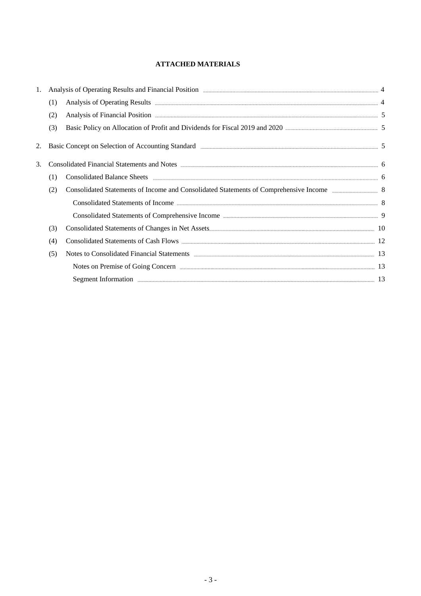## **ATTACHED MATERIALS**

| 1. |     | Analysis of Operating Results and Financial Position <b>Election Container and Election</b> 4                                                                                                                                        |  |
|----|-----|--------------------------------------------------------------------------------------------------------------------------------------------------------------------------------------------------------------------------------------|--|
|    | (1) |                                                                                                                                                                                                                                      |  |
|    | (2) | Analysis of Financial Position <b>Exercise Service Contract Contract Contract Contract Contract Contract Contract Contract Contract Contract Contract Contract Contract Contract Contract Contract Contract Contract Contract Co</b> |  |
|    | (3) | Basic Policy on Allocation of Profit and Dividends for Fiscal 2019 and 2020 <b>Massen Constructs</b> 5                                                                                                                               |  |
| 2. |     | Basic Concept on Selection of Accounting Standard (2008) 2008 2012 12:00 12:00 12:00 12:00 12:00 12:00 12:00 13:00 13:00 13:00 13:00 13:00 14:00 14:00 14:00 14:00 14:00 14:00 14:00 14:00 14:00 14:00 14:00 14:00 14:00 14:00       |  |
| 3. |     | Consolidated Financial Statements and Notes <b>manufacture of the Consolidated Financial Statements and Notes</b> 6                                                                                                                  |  |
|    | (1) |                                                                                                                                                                                                                                      |  |
|    | (2) | Consolidated Statements of Income and Consolidated Statements of Comprehensive Income 388 88                                                                                                                                         |  |
|    |     | Consolidated Statements of Income <b>Exercise Statements</b> 8                                                                                                                                                                       |  |
|    |     | Consolidated Statements of Comprehensive Income <b>Example 2018</b> 19 9                                                                                                                                                             |  |
|    | (3) |                                                                                                                                                                                                                                      |  |
|    | (4) |                                                                                                                                                                                                                                      |  |
|    | (5) | Notes to Consolidated Financial Statements <b>Exercise 2nd August</b> 2014 13                                                                                                                                                        |  |
|    |     |                                                                                                                                                                                                                                      |  |
|    |     | Segment Information 2018 and 2018 and 2018 and 2018 and 2018 and 2018 and 2018 and 2018 and 2018 and 2018 and 2018 and 2018 and 2018 and 2018 and 2018 and 2018 and 2018 and 2018 and 2018 and 2018 and 2018 and 2018 and 2018       |  |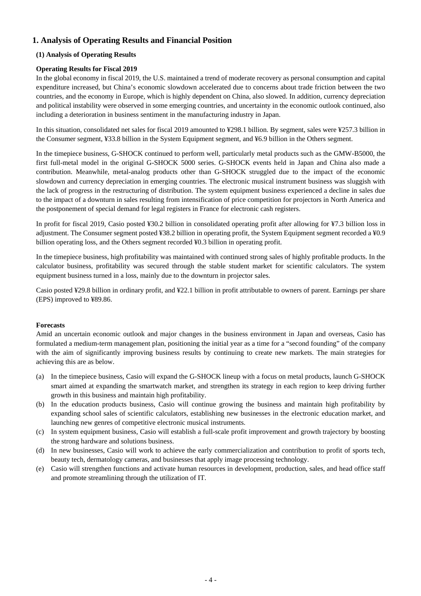## **1. Analysis of Operating Results and Financial Position**

## **(1) Analysis of Operating Results**

## **Operating Results for Fiscal 2019**

In the global economy in fiscal 2019, the U.S. maintained a trend of moderate recovery as personal consumption and capital expenditure increased, but China's economic slowdown accelerated due to concerns about trade friction between the two countries, and the economy in Europe, which is highly dependent on China, also slowed. In addition, currency depreciation and political instability were observed in some emerging countries, and uncertainty in the economic outlook continued, also including a deterioration in business sentiment in the manufacturing industry in Japan.

In this situation, consolidated net sales for fiscal 2019 amounted to ¥298.1 billion. By segment, sales were ¥257.3 billion in the Consumer segment, ¥33.8 billion in the System Equipment segment, and ¥6.9 billion in the Others segment.

In the timepiece business, G-SHOCK continued to perform well, particularly metal products such as the GMW-B5000, the first full-metal model in the original G-SHOCK 5000 series. G-SHOCK events held in Japan and China also made a contribution. Meanwhile, metal-analog products other than G-SHOCK struggled due to the impact of the economic slowdown and currency depreciation in emerging countries. The electronic musical instrument business was sluggish with the lack of progress in the restructuring of distribution. The system equipment business experienced a decline in sales due to the impact of a downturn in sales resulting from intensification of price competition for projectors in North America and the postponement of special demand for legal registers in France for electronic cash registers.

In profit for fiscal 2019, Casio posted ¥30.2 billion in consolidated operating profit after allowing for ¥7.3 billion loss in adjustment. The Consumer segment posted ¥38.2 billion in operating profit, the System Equipment segment recorded a ¥0.9 billion operating loss, and the Others segment recorded ¥0.3 billion in operating profit.

In the timepiece business, high profitability was maintained with continued strong sales of highly profitable products. In the calculator business, profitability was secured through the stable student market for scientific calculators. The system equipment business turned in a loss, mainly due to the downturn in projector sales.

Casio posted ¥29.8 billion in ordinary profit, and ¥22.1 billion in profit attributable to owners of parent. Earnings per share (EPS) improved to ¥89.86.

## **Forecasts**

Amid an uncertain economic outlook and major changes in the business environment in Japan and overseas, Casio has formulated a medium-term management plan, positioning the initial year as a time for a "second founding" of the company with the aim of significantly improving business results by continuing to create new markets. The main strategies for achieving this are as below.

- (a) In the timepiece business, Casio will expand the G-SHOCK lineup with a focus on metal products, launch G-SHOCK smart aimed at expanding the smartwatch market, and strengthen its strategy in each region to keep driving further growth in this business and maintain high profitability.
- (b) In the education products business, Casio will continue growing the business and maintain high profitability by expanding school sales of scientific calculators, establishing new businesses in the electronic education market, and launching new genres of competitive electronic musical instruments.
- (c) In system equipment business, Casio will establish a full-scale profit improvement and growth trajectory by boosting the strong hardware and solutions business.
- (d) In new businesses, Casio will work to achieve the early commercialization and contribution to profit of sports tech, beauty tech, dermatology cameras, and businesses that apply image processing technology.
- (e) Casio will strengthen functions and activate human resources in development, production, sales, and head office staff and promote streamlining through the utilization of IT.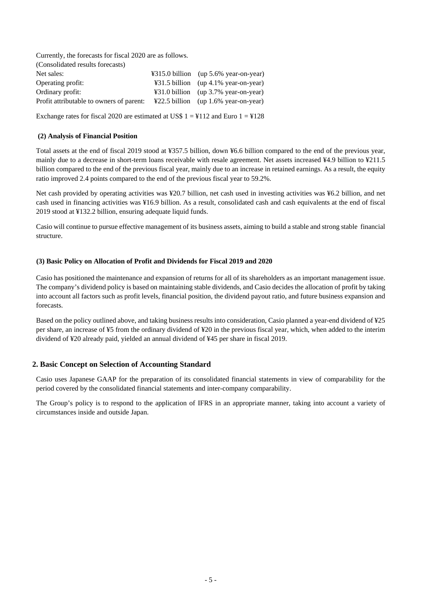Currently, the forecasts for fiscal 2020 are as follows. (Consolidated results forecasts) Net sales:  $\frac{4315.0 \text{ billion}}{49315.0 \text{ billion}}$  (up 5.6% year-on-year) Operating profit: ¥31.5 billion (up 4.1% year-on-year) Ordinary profit: ¥31.0 billion (up 3.7% year-on-year) Profit attributable to owners of parent: ¥22.5 billion (up 1.6% year-on-year)

Exchange rates for fiscal 2020 are estimated at US\$  $1 = 4112$  and Euro  $1 = 4128$ 

### **(2) Analysis of Financial Position**

Total assets at the end of fiscal 2019 stood at ¥357.5 billion, down ¥6.6 billion compared to the end of the previous year, mainly due to a decrease in short-term loans receivable with resale agreement. Net assets increased ¥4.9 billion to ¥211.5 billion compared to the end of the previous fiscal year, mainly due to an increase in retained earnings. As a result, the equity ratio improved 2.4 points compared to the end of the previous fiscal year to 59.2%.

Net cash provided by operating activities was ¥20.7 billion, net cash used in investing activities was ¥6.2 billion, and net cash used in financing activities was ¥16.9 billion. As a result, consolidated cash and cash equivalents at the end of fiscal 2019 stood at ¥132.2 billion, ensuring adequate liquid funds.

Casio will continue to pursue effective management of its business assets, aiming to build a stable and strong stable financial structure.

#### **(3) Basic Policy on Allocation of Profit and Dividends for Fiscal 2019 and 2020**

Casio has positioned the maintenance and expansion of returns for all of its shareholders as an important management issue. The company's dividend policy is based on maintaining stable dividends, and Casio decides the allocation of profit by taking into account all factors such as profit levels, financial position, the dividend payout ratio, and future business expansion and forecasts.

Based on the policy outlined above, and taking business results into consideration, Casio planned a year-end dividend of ¥25 per share, an increase of ¥5 from the ordinary dividend of ¥20 in the previous fiscal year, which, when added to the interim dividend of ¥20 already paid, yielded an annual dividend of ¥45 per share in fiscal 2019.

## **2. Basic Concept on Selection of Accounting Standard**

Casio uses Japanese GAAP for the preparation of its consolidated financial statements in view of comparability for the period covered by the consolidated financial statements and inter-company comparability.

The Group's policy is to respond to the application of IFRS in an appropriate manner, taking into account a variety of circumstances inside and outside Japan.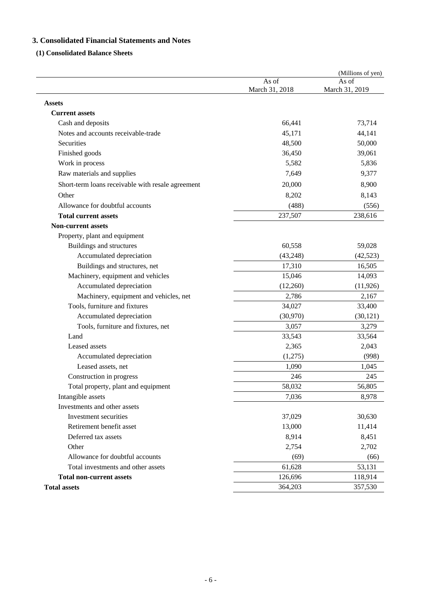## **3. Consolidated Financial Statements and Notes**

## **(1) Consolidated Balance Sheets**

|                                                   |                         | (Millions of yen)       |
|---------------------------------------------------|-------------------------|-------------------------|
|                                                   | As of<br>March 31, 2018 | As of<br>March 31, 2019 |
| <b>Assets</b>                                     |                         |                         |
| <b>Current assets</b>                             |                         |                         |
| Cash and deposits                                 | 66,441                  | 73,714                  |
| Notes and accounts receivable-trade               | 45,171                  | 44,141                  |
| Securities                                        | 48,500                  | 50,000                  |
| Finished goods                                    | 36,450                  | 39,061                  |
| Work in process                                   | 5,582                   | 5,836                   |
| Raw materials and supplies                        | 7,649                   | 9,377                   |
| Short-term loans receivable with resale agreement | 20,000                  | 8,900                   |
| Other                                             | 8,202                   | 8,143                   |
| Allowance for doubtful accounts                   | (488)                   | (556)                   |
| <b>Total current assets</b>                       | 237,507                 | 238,616                 |
| <b>Non-current assets</b>                         |                         |                         |
| Property, plant and equipment                     |                         |                         |
| Buildings and structures                          | 60,558                  | 59,028                  |
| Accumulated depreciation                          | (43,248)                | (42, 523)               |
| Buildings and structures, net                     | 17,310                  | 16,505                  |
| Machinery, equipment and vehicles                 | 15,046                  | 14,093                  |
| Accumulated depreciation                          | (12,260)                | (11, 926)               |
| Machinery, equipment and vehicles, net            | 2,786                   | 2,167                   |
| Tools, furniture and fixtures                     | 34,027                  | 33,400                  |
| Accumulated depreciation                          | (30,970)                | (30, 121)               |
| Tools, furniture and fixtures, net                | 3,057                   | 3,279                   |
| Land                                              | 33,543                  | 33,564                  |
| Leased assets                                     | 2,365                   | 2,043                   |
| Accumulated depreciation                          | (1,275)                 | (998)                   |
| Leased assets, net                                | 1,090                   | 1,045                   |
| Construction in progress                          | 246                     | 245                     |
| Total property, plant and equipment               | 58,032                  | 56,805                  |
| Intangible assets                                 | 7,036                   | 8,978                   |
| Investments and other assets                      |                         |                         |
| Investment securities                             | 37,029                  | 30,630                  |
| Retirement benefit asset                          | 13,000                  | 11,414                  |
| Deferred tax assets                               | 8,914                   | 8,451                   |
| Other                                             | 2,754                   | 2,702                   |
| Allowance for doubtful accounts                   | (69)                    | (66)                    |
| Total investments and other assets                | 61,628                  | 53,131                  |
| <b>Total non-current assets</b>                   | 126,696                 | 118,914                 |
| <b>Total assets</b>                               | 364,203                 | 357,530                 |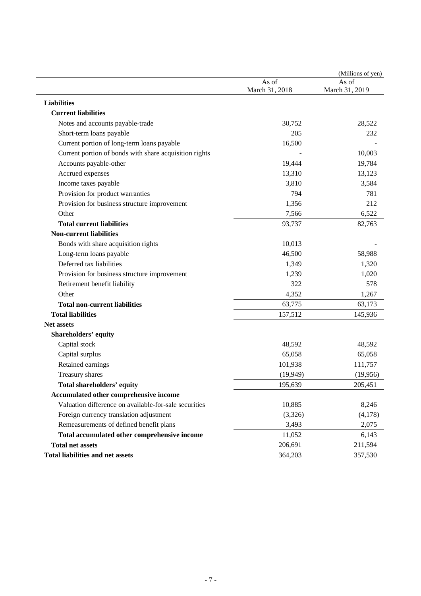|                                                        |                         | (Millions of yen)       |
|--------------------------------------------------------|-------------------------|-------------------------|
|                                                        | As of<br>March 31, 2018 | As of<br>March 31, 2019 |
| <b>Liabilities</b>                                     |                         |                         |
| <b>Current liabilities</b>                             |                         |                         |
| Notes and accounts payable-trade                       | 30,752                  | 28,522                  |
| Short-term loans payable                               | 205                     | 232                     |
| Current portion of long-term loans payable             | 16,500                  |                         |
| Current portion of bonds with share acquisition rights |                         | 10,003                  |
| Accounts payable-other                                 | 19,444                  | 19,784                  |
| Accrued expenses                                       | 13,310                  | 13,123                  |
| Income taxes payable                                   | 3,810                   | 3,584                   |
| Provision for product warranties                       | 794                     | 781                     |
| Provision for business structure improvement           | 1,356                   | 212                     |
| Other                                                  | 7,566                   | 6,522                   |
| <b>Total current liabilities</b>                       | 93,737                  | 82,763                  |
| <b>Non-current liabilities</b>                         |                         |                         |
| Bonds with share acquisition rights                    | 10,013                  |                         |
| Long-term loans payable                                | 46,500                  | 58,988                  |
| Deferred tax liabilities                               | 1,349                   | 1,320                   |
| Provision for business structure improvement           | 1,239                   | 1,020                   |
| Retirement benefit liability                           | 322                     | 578                     |
| Other                                                  | 4,352                   | 1,267                   |
| <b>Total non-current liabilities</b>                   | 63,775                  | 63,173                  |
| <b>Total liabilities</b>                               | 157,512                 | 145,936                 |
| <b>Net assets</b>                                      |                         |                         |
| <b>Shareholders' equity</b>                            |                         |                         |
| Capital stock                                          | 48,592                  | 48,592                  |
| Capital surplus                                        | 65,058                  | 65,058                  |
| Retained earnings                                      | 101,938                 | 111,757                 |
| Treasury shares                                        | (19, 949)               | (19,956)                |
| Total shareholders' equity                             | 195,639                 | 205,451                 |
| Accumulated other comprehensive income                 |                         |                         |
| Valuation difference on available-for-sale securities  | 10,885                  | 8,246                   |
| Foreign currency translation adjustment                | (3,326)                 | (4,178)                 |
| Remeasurements of defined benefit plans                | 3,493                   | 2,075                   |
| Total accumulated other comprehensive income           | 11,052                  | 6,143                   |
| <b>Total net assets</b>                                | 206,691                 | 211,594                 |
| <b>Total liabilities and net assets</b>                | 364,203                 | 357,530                 |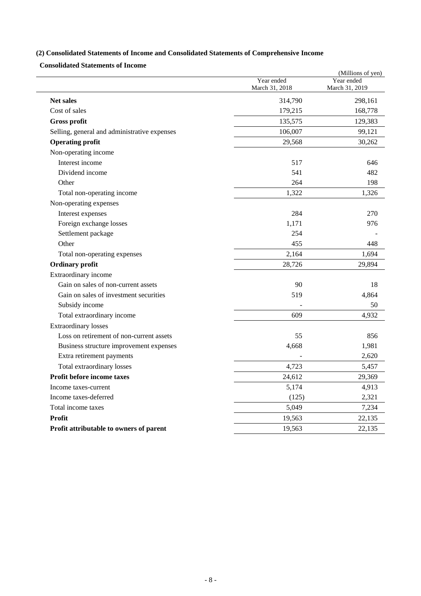## **(2) Consolidated Statements of Income and Consolidated Statements of Comprehensive Income**

**Consolidated Statements of Income** 

|                                              |                              | (Millions of yen)            |  |
|----------------------------------------------|------------------------------|------------------------------|--|
|                                              | Year ended<br>March 31, 2018 | Year ended<br>March 31, 2019 |  |
| <b>Net sales</b>                             | 314,790                      | 298,161                      |  |
| Cost of sales                                | 179,215                      | 168,778                      |  |
| Gross profit                                 | 135,575                      | 129,383                      |  |
| Selling, general and administrative expenses | 106,007                      | 99,121                       |  |
| <b>Operating profit</b>                      | 29,568                       | 30,262                       |  |
| Non-operating income                         |                              |                              |  |
| Interest income                              | 517                          | 646                          |  |
| Dividend income                              | 541                          | 482                          |  |
| Other                                        | 264                          | 198                          |  |
| Total non-operating income                   | 1,322                        | 1,326                        |  |
| Non-operating expenses                       |                              |                              |  |
| Interest expenses                            | 284                          | 270                          |  |
| Foreign exchange losses                      | 1,171                        | 976                          |  |
| Settlement package                           | 254                          |                              |  |
| Other                                        | 455                          | 448                          |  |
| Total non-operating expenses                 | 2,164                        | 1,694                        |  |
| <b>Ordinary profit</b>                       | 28,726                       | 29,894                       |  |
| Extraordinary income                         |                              |                              |  |
| Gain on sales of non-current assets          | 90                           | 18                           |  |
| Gain on sales of investment securities       | 519                          | 4,864                        |  |
| Subsidy income                               |                              | 50                           |  |
| Total extraordinary income                   | 609                          | 4,932                        |  |
| <b>Extraordinary losses</b>                  |                              |                              |  |
| Loss on retirement of non-current assets     | 55                           | 856                          |  |
| Business structure improvement expenses      | 4,668                        | 1,981                        |  |
| Extra retirement payments                    |                              | 2,620                        |  |
| Total extraordinary losses                   | 4,723                        | 5,457                        |  |
| Profit before income taxes                   | 24,612                       | 29,369                       |  |
| Income taxes-current                         | 5,174                        | 4,913                        |  |
| Income taxes-deferred                        | (125)                        | 2,321                        |  |
| Total income taxes                           | 5,049                        | 7,234                        |  |
| <b>Profit</b>                                | 19,563                       | 22,135                       |  |
| Profit attributable to owners of parent      | 19,563                       | 22,135                       |  |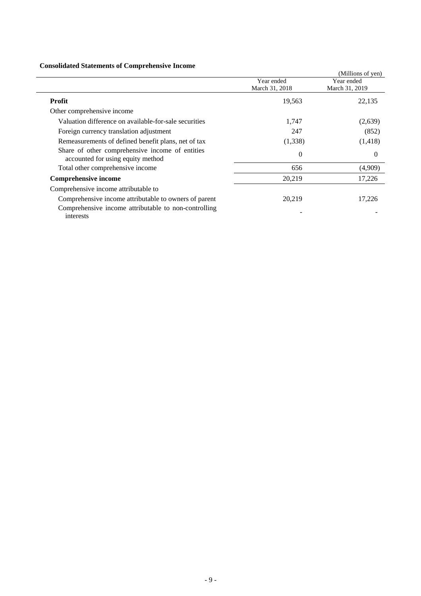## **Consolidated Statements of Comprehensive Income**

| Consolidated Statements of Complements of Income                                     |                |                   |
|--------------------------------------------------------------------------------------|----------------|-------------------|
|                                                                                      |                | (Millions of yen) |
|                                                                                      | Year ended     | Year ended        |
|                                                                                      | March 31, 2018 | March 31, 2019    |
| <b>Profit</b>                                                                        | 19,563         | 22,135            |
| Other comprehensive income                                                           |                |                   |
| Valuation difference on available-for-sale securities                                | 1,747          | (2,639)           |
| Foreign currency translation adjustment                                              | 247            | (852)             |
| Remeasurements of defined benefit plans, net of tax                                  | (1,338)        | (1, 418)          |
| Share of other comprehensive income of entities<br>accounted for using equity method | $\theta$       | $\Omega$          |
| Total other comprehensive income                                                     | 656            | (4,909)           |
| <b>Comprehensive income</b>                                                          | 20,219         | 17,226            |
| Comprehensive income attributable to                                                 |                |                   |
| Comprehensive income attributable to owners of parent                                | 20,219         | 17,226            |
| Comprehensive income attributable to non-controlling<br>interests                    |                |                   |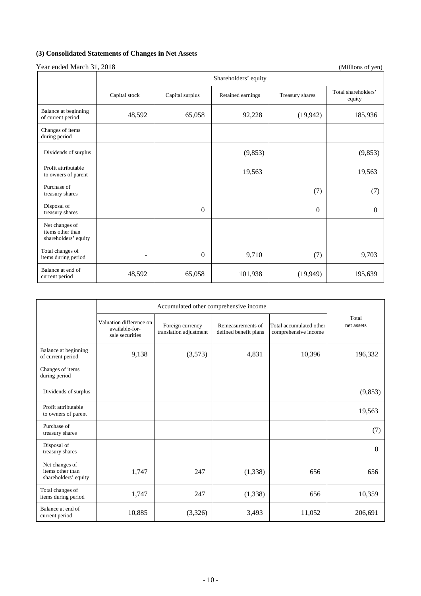## **(3) Consolidated Statements of Changes in Net Assets**

 $\mathbf{I}$ 

Year ended March 31, 2018 (Millions of yen) Shareholders' equity

|                                                            | phareholders equity |                 |                   |                 |                               |
|------------------------------------------------------------|---------------------|-----------------|-------------------|-----------------|-------------------------------|
|                                                            | Capital stock       | Capital surplus | Retained earnings | Treasury shares | Total shareholders'<br>equity |
| Balance at beginning<br>of current period                  | 48,592              | 65,058          | 92,228            | (19, 942)       | 185,936                       |
| Changes of items<br>during period                          |                     |                 |                   |                 |                               |
| Dividends of surplus                                       |                     |                 | (9,853)           |                 | (9, 853)                      |
| Profit attributable<br>to owners of parent                 |                     |                 | 19,563            |                 | 19,563                        |
| Purchase of<br>treasury shares                             |                     |                 |                   | (7)             | (7)                           |
| Disposal of<br>treasury shares                             |                     | $\theta$        |                   | $\theta$        | $\Omega$                      |
| Net changes of<br>items other than<br>shareholders' equity |                     |                 |                   |                 |                               |
| Total changes of<br>items during period                    | $\qquad \qquad -$   | $\mathbf{0}$    | 9,710             | (7)             | 9,703                         |
| Balance at end of<br>current period                        | 48,592              | 65,058          | 101,938           | (19, 949)       | 195,639                       |

|                                                            |                                                              | Accumulated other comprehensive income     |                                            |                                                 |                     |  |
|------------------------------------------------------------|--------------------------------------------------------------|--------------------------------------------|--------------------------------------------|-------------------------------------------------|---------------------|--|
|                                                            | Valuation difference on<br>available-for-<br>sale securities | Foreign currency<br>translation adjustment | Remeasurements of<br>defined benefit plans | Total accumulated other<br>comprehensive income | Total<br>net assets |  |
| Balance at beginning<br>of current period                  | 9,138                                                        | (3,573)                                    | 4,831                                      | 10,396                                          | 196,332             |  |
| Changes of items<br>during period                          |                                                              |                                            |                                            |                                                 |                     |  |
| Dividends of surplus                                       |                                                              |                                            |                                            |                                                 | (9,853)             |  |
| Profit attributable<br>to owners of parent                 |                                                              |                                            |                                            |                                                 | 19,563              |  |
| Purchase of<br>treasury shares                             |                                                              |                                            |                                            |                                                 | (7)                 |  |
| Disposal of<br>treasury shares                             |                                                              |                                            |                                            |                                                 | $\Omega$            |  |
| Net changes of<br>items other than<br>shareholders' equity | 1,747                                                        | 247                                        | (1,338)                                    | 656                                             | 656                 |  |
| Total changes of<br>items during period                    | 1,747                                                        | 247                                        | (1, 338)                                   | 656                                             | 10,359              |  |
| Balance at end of<br>current period                        | 10,885                                                       | (3,326)                                    | 3,493                                      | 11,052                                          | 206,691             |  |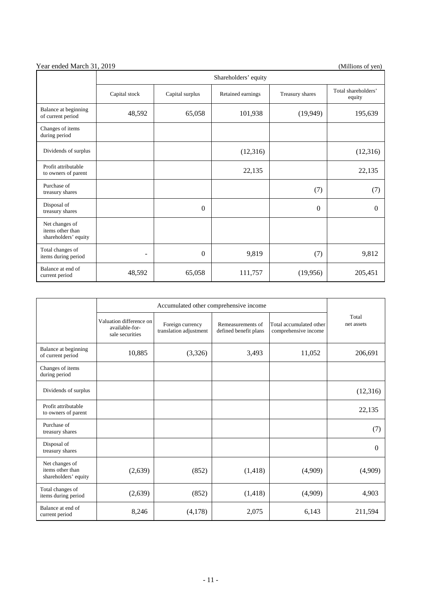|                                                            | Shareholders' equity                                  |                  |                 |                               |          |
|------------------------------------------------------------|-------------------------------------------------------|------------------|-----------------|-------------------------------|----------|
|                                                            | Capital stock<br>Capital surplus<br>Retained earnings |                  | Treasury shares | Total shareholders'<br>equity |          |
| Balance at beginning<br>of current period                  | 48,592                                                | 65,058           | 101,938         | (19, 949)                     | 195,639  |
| Changes of items<br>during period                          |                                                       |                  |                 |                               |          |
| Dividends of surplus                                       |                                                       |                  | (12,316)        |                               | (12,316) |
| Profit attributable<br>to owners of parent                 |                                                       |                  | 22,135          |                               | 22,135   |
| Purchase of<br>treasury shares                             |                                                       |                  |                 | (7)                           | (7)      |
| Disposal of<br>treasury shares                             |                                                       | $\Omega$         |                 | $\Omega$                      | $\Omega$ |
| Net changes of<br>items other than<br>shareholders' equity |                                                       |                  |                 |                               |          |
| Total changes of<br>items during period                    | $\overline{\phantom{0}}$                              | $\boldsymbol{0}$ | 9,819           | (7)                           | 9,812    |
| Balance at end of<br>current period                        | 48,592                                                | 65,058           | 111,757         | (19,956)                      | 205,451  |

|                                                            | Valuation difference on<br>available-for-<br>sale securities | Foreign currency<br>Remeasurements of<br>translation adjustment<br>defined benefit plans |          | Total accumulated other<br>comprehensive income | Total<br>net assets |
|------------------------------------------------------------|--------------------------------------------------------------|------------------------------------------------------------------------------------------|----------|-------------------------------------------------|---------------------|
| Balance at beginning<br>of current period                  | 10,885                                                       | (3,326)                                                                                  | 3,493    | 11,052                                          | 206,691             |
| Changes of items<br>during period                          |                                                              |                                                                                          |          |                                                 |                     |
| Dividends of surplus                                       |                                                              |                                                                                          |          |                                                 | (12,316)            |
| Profit attributable<br>to owners of parent                 |                                                              |                                                                                          |          |                                                 | 22,135              |
| Purchase of<br>treasury shares                             |                                                              |                                                                                          |          |                                                 | (7)                 |
| Disposal of<br>treasury shares                             |                                                              |                                                                                          |          |                                                 | 0                   |
| Net changes of<br>items other than<br>shareholders' equity | (2,639)                                                      | (852)                                                                                    | (1, 418) | (4,909)                                         | (4,909)             |
| Total changes of<br>items during period                    | (2,639)                                                      | (852)                                                                                    | (1, 418) | (4,909)                                         | 4,903               |
| Balance at end of<br>current period                        | 8,246                                                        | (4,178)                                                                                  | 2,075    | 6,143                                           | 211,594             |

## Year ended March 31, 2019 (Millions of yen)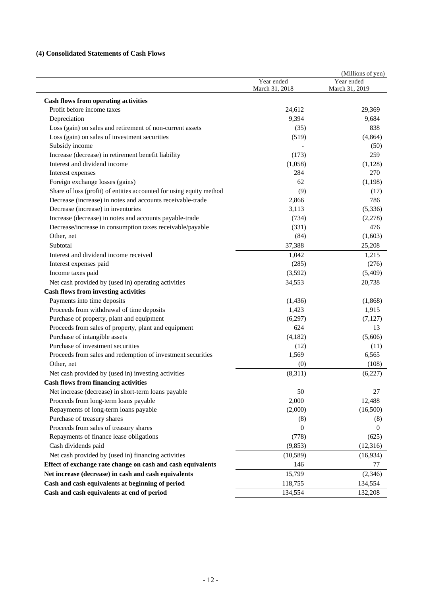## **(4) Consolidated Statements of Cash Flows**

|                                                                      | Year ended<br>March 31, 2018 | (Millions of yen)<br>Year ended<br>March 31, 2019 |
|----------------------------------------------------------------------|------------------------------|---------------------------------------------------|
| <b>Cash flows from operating activities</b>                          |                              |                                                   |
| Profit before income taxes                                           | 24,612                       | 29,369                                            |
| Depreciation                                                         | 9,394                        | 9,684                                             |
| Loss (gain) on sales and retirement of non-current assets            | (35)                         | 838                                               |
| Loss (gain) on sales of investment securities                        | (519)                        | (4, 864)                                          |
| Subsidy income                                                       |                              | (50)                                              |
| Increase (decrease) in retirement benefit liability                  | (173)                        | 259                                               |
| Interest and dividend income                                         | (1,058)                      | (1,128)                                           |
| Interest expenses                                                    | 284                          | 270                                               |
| Foreign exchange losses (gains)                                      | 62                           | (1, 198)                                          |
| Share of loss (profit) of entities accounted for using equity method | (9)                          | (17)                                              |
| Decrease (increase) in notes and accounts receivable-trade           | 2,866                        | 786                                               |
| Decrease (increase) in inventories                                   | 3,113                        | (5, 336)                                          |
| Increase (decrease) in notes and accounts payable-trade              | (734)                        | (2,278)                                           |
| Decrease/increase in consumption taxes receivable/payable            | (331)                        | 476                                               |
| Other, net                                                           | (84)                         | (1,603)                                           |
| Subtotal                                                             | 37,388                       | 25,208                                            |
| Interest and dividend income received                                | 1,042                        | 1,215                                             |
| Interest expenses paid                                               | (285)                        | (276)                                             |
| Income taxes paid                                                    | (3,592)                      | (5,409)                                           |
| Net cash provided by (used in) operating activities                  | 34,553                       | 20,738                                            |
| <b>Cash flows from investing activities</b>                          |                              |                                                   |
| Payments into time deposits                                          | (1, 436)                     | (1,868)                                           |
| Proceeds from withdrawal of time deposits                            | 1,423                        | 1,915                                             |
| Purchase of property, plant and equipment                            | (6,297)                      | (7, 127)                                          |
| Proceeds from sales of property, plant and equipment                 | 624                          | 13                                                |
| Purchase of intangible assets                                        | (4,182)                      | (5,606)                                           |
| Purchase of investment securities                                    | (12)                         | (11)                                              |
| Proceeds from sales and redemption of investment securities          | 1,569                        | 6,565                                             |
| Other, net                                                           | (0)                          | (108)                                             |
| Net cash provided by (used in) investing activities                  | (8,311)                      | (6,227)                                           |
| <b>Cash flows from financing activities</b>                          |                              |                                                   |
| Net increase (decrease) in short-term loans payable                  | 50                           | 27                                                |
| Proceeds from long-term loans payable                                | 2,000                        | 12,488                                            |
| Repayments of long-term loans payable                                | (2,000)                      | (16,500)                                          |
| Purchase of treasury shares                                          | (8)                          | (8)                                               |
| Proceeds from sales of treasury shares                               | $\Omega$                     | $\Omega$                                          |
| Repayments of finance lease obligations                              | (778)                        | (625)                                             |
| Cash dividends paid                                                  | (9,853)                      | (12, 316)                                         |
| Net cash provided by (used in) financing activities                  | (10, 589)                    | (16,934)                                          |
| Effect of exchange rate change on cash and cash equivalents          | 146                          | 77                                                |
| Net increase (decrease) in cash and cash equivalents                 | 15,799                       | (2,346)                                           |
| Cash and cash equivalents at beginning of period                     | 118,755                      | 134,554                                           |
| Cash and cash equivalents at end of period                           | 134,554                      | 132,208                                           |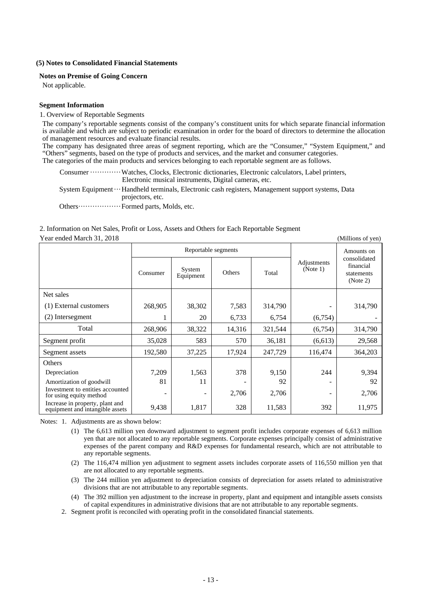#### **(5) Notes to Consolidated Financial Statements**

#### **Notes on Premise of Going Concern**

Not applicable.

#### **Segment Information**

#### 1. Overview of Reportable Segments

The company's reportable segments consist of the company's constituent units for which separate financial information is available and which are subject to periodic examination in order for the board of directors to determine the allocation of management resources and evaluate financial results.

The company has designated three areas of segment reporting, which are the "Consumer," "System Equipment," and "Others" segments, based on the type of products and services, and the market and consumer categories. The categories of the main products and services belonging to each reportable segment are as follows.

Consumer ············· Watches, Clocks, Electronic dictionaries, Electronic calculators, Label printers, Electronic musical instruments, Digital cameras, etc.

System Equipment ··· Handheld terminals, Electronic cash registers, Management support systems, Data projectors, etc.

Others ·················· Formed parts, Molds, etc.

#### 2. Information on Net Sales, Profit or Loss, Assets and Others for Each Reportable Segment Year ended March 31, 2018 (Millions of yen)

Reportable segments **Adjustments**  $(Note 1)$ Amounts on consolidated financial statements (Note 2)  $\sim$  Consumer  $\sim$  System System Department Others Total Net sales (1) External customers 268,905 38,302 7,583 314,790 - 314,790 (2) Intersegment 1 20 6,733 6,754 (6,754) - Total 1268,906 38,322 14,316 321,544 (6,754) 314,790 Segment profit 35,028 583 570 36,181 (6,613) 29,568 Segment assets 192,580 37,225 17,924 247,729 116,474 364,203 **Others** Depreciation 1,509 1,563 378 9,150 244 9,394 Amortization of goodwill 81 11 - 92 - 92 Investment to entities accounted for using equity method  $2,706$   $2,706$ Increase in property, plant and equipment and intangible assets 9,438 1,817 328 11,583 392 11,975

Notes: 1. Adjustments are as shown below:

- (1) The 6,613 million yen downward adjustment to segment profit includes corporate expenses of 6,613 million yen that are not allocated to any reportable segments. Corporate expenses principally consist of administrative expenses of the parent company and R&D expenses for fundamental research, which are not attributable to any reportable segments.
- (2) The 116,474 million yen adjustment to segment assets includes corporate assets of 116,550 million yen that are not allocated to any reportable segments.
- (3) The 244 million yen adjustment to depreciation consists of depreciation for assets related to administrative divisions that are not attributable to any reportable segments.
- (4) The 392 million yen adjustment to the increase in property, plant and equipment and intangible assets consists of capital expenditures in administrative divisions that are not attributable to any reportable segments.
- 2. Segment profit is reconciled with operating profit in the consolidated financial statements.